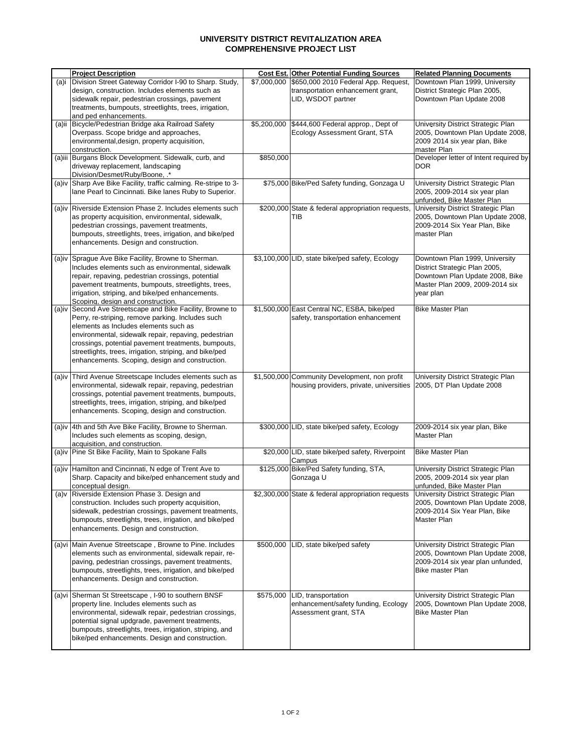## **UNIVERSITY DISTRICT REVITALIZATION AREA COMPREHENSIVE PROJECT LIST**

|       | <b>Project Description</b>                                                                                                                                                                                                                                                                                                                                                           |             | <b>Cost Est. Other Potential Funding Sources</b>                                                | <b>Related Planning Documents</b>                                                                                                                  |
|-------|--------------------------------------------------------------------------------------------------------------------------------------------------------------------------------------------------------------------------------------------------------------------------------------------------------------------------------------------------------------------------------------|-------------|-------------------------------------------------------------------------------------------------|----------------------------------------------------------------------------------------------------------------------------------------------------|
| (a)i  | Division Street Gateway Corridor I-90 to Sharp. Study,<br>design, construction. Includes elements such as<br>sidewalk repair, pedestrian crossings, pavement<br>treatments, bumpouts, streetlights, trees, irrigation,<br>and ped enhancements.                                                                                                                                      | \$7,000,000 | \$650,000 2010 Federal App. Request,<br>transportation enhancement grant,<br>LID, WSDOT partner | Downtown Plan 1999, University<br>District Strategic Plan 2005,<br>Downtown Plan Update 2008                                                       |
|       | (a)ii Bicycle/Pedestrian Bridge aka Railroad Safety<br>Overpass. Scope bridge and approaches,<br>environmental, design, property acquisition,<br>construction.                                                                                                                                                                                                                       |             | \$5,200,000   \$444,600 Federal approp., Dept of<br>Ecology Assessment Grant, STA               | University District Strategic Plan<br>2005, Downtown Plan Update 2008,<br>2009 2014 six year plan, Bike<br>master Plan                             |
|       | (a)iii Burgans Block Development. Sidewalk, curb, and<br>driveway replacement, landscaping<br>Division/Desmet/Ruby/Boone, .*                                                                                                                                                                                                                                                         | \$850,000   |                                                                                                 | Developer letter of Intent required by<br><b>DOR</b>                                                                                               |
|       | (a)iv Sharp Ave Bike Facility, traffic calming. Re-stripe to 3-<br>lane Pearl to Cincinnati. Bike lanes Ruby to Superior.                                                                                                                                                                                                                                                            |             | \$75,000 Bike/Ped Safety funding, Gonzaga U                                                     | University District Strategic Plan<br>2005, 2009-2014 six year plan<br>unfunded, Bike Master Plan                                                  |
|       | (a)iv Riverside Extension Phase 2. Includes elements such<br>as property acquisition, environmental, sidewalk,<br>pedestrian crossings, pavement treatments,<br>bumpouts, streetlights, trees, irrigation, and bike/ped<br>enhancements. Design and construction.                                                                                                                    |             | \$200,000 State & federal appropriation requests,<br>TIB                                        | University District Strategic Plan<br>2005, Downtown Plan Update 2008,<br>2009-2014 Six Year Plan, Bike<br>master Plan                             |
|       | (a)iv Sprague Ave Bike Facility, Browne to Sherman.<br>Includes elements such as environmental, sidewalk<br>repair, repaving, pedestrian crossings, potential<br>pavement treatments, bumpouts, streetlights, trees,<br>irrigation, striping, and bike/ped enhancements.<br>Scoping, design and construction.                                                                        |             | \$3,100,000 LID, state bike/ped safety, Ecology                                                 | Downtown Plan 1999, University<br>District Strategic Plan 2005,<br>Downtown Plan Update 2008, Bike<br>Master Plan 2009, 2009-2014 six<br>year plan |
|       | (a)iv Second Ave Streetscape and Bike Facility, Browne to<br>Perry, re-striping, remove parking. Includes such<br>elements as Includes elements such as<br>environmental, sidewalk repair, repaving, pedestrian<br>crossings, potential pavement treatments, bumpouts,<br>streetlights, trees, irrigation, striping, and bike/ped<br>enhancements. Scoping, design and construction. |             | \$1,500,000 East Central NC, ESBA, bike/ped<br>safety, transportation enhancement               | <b>Bike Master Plan</b>                                                                                                                            |
| (a)iv | Third Avenue Streetscape Includes elements such as<br>environmental, sidewalk repair, repaving, pedestrian<br>crossings, potential pavement treatments, bumpouts,<br>streetlights, trees, irrigation, striping, and bike/ped<br>enhancements. Scoping, design and construction.                                                                                                      |             | \$1,500,000 Community Development, non profit<br>housing providers, private, universities       | University District Strategic Plan<br>2005, DT Plan Update 2008                                                                                    |
|       | (a)iv 4th and 5th Ave Bike Facility, Browne to Sherman.<br>Includes such elements as scoping, design,<br>acquisition, and construction.                                                                                                                                                                                                                                              |             | \$300,000 LID, state bike/ped safety, Ecology                                                   | 2009-2014 six year plan, Bike<br>Master Plan                                                                                                       |
|       | (a)iv Pine St Bike Facility, Main to Spokane Falls                                                                                                                                                                                                                                                                                                                                   |             | \$20,000 LID, state bike/ped safety, Riverpoint<br>Campus                                       | <b>Bike Master Plan</b>                                                                                                                            |
| (a)iv | Hamilton and Cincinnati, N edge of Trent Ave to<br>Sharp. Capacity and bike/ped enhancement study and<br>conceptual design.                                                                                                                                                                                                                                                          |             | \$125,000 Bike/Ped Safety funding, STA,<br>Gonzaga U                                            | University District Strategic Plan<br>2005, 2009-2014 six year plan<br>unfunded, Bike Master Plan                                                  |
|       | (a)v Riverside Extension Phase 3. Design and<br>construction. Includes such property acquisition,<br>sidewalk, pedestrian crossings, pavement treatments,<br>bumpouts, streetlights, trees, irrigation, and bike/ped<br>enhancements. Design and construction.                                                                                                                       |             | \$2,300,000 State & federal appropriation requests                                              | University District Strategic Plan<br>2005, Downtown Plan Update 2008,<br>2009-2014 Six Year Plan, Bike<br>Master Plan                             |
|       | (a) vi Main Avenue Streetscape, Browne to Pine. Includes<br>elements such as environmental, sidewalk repair, re-<br>paving, pedestrian crossings, pavement treatments,<br>bumpouts, streetlights, trees, irrigation, and bike/ped<br>enhancements. Design and construction.                                                                                                          |             | \$500,000 LID, state bike/ped safety                                                            | University District Strategic Plan<br>2005, Downtown Plan Update 2008,<br>2009-2014 six year plan unfunded,<br><b>Bike master Plan</b>             |
|       | (a) vi Sherman St Streetscape, I-90 to southern BNSF<br>property line. Includes elements such as<br>environmental, sidewalk repair, pedestrian crossings,<br>potential signal updgrade, pavement treatments,<br>bumpouts, streetlights, trees, irrigation, striping, and<br>bike/ped enhancements. Design and construction.                                                          | \$575,000   | LID, transportation<br>enhancement/safety funding, Ecology<br>Assessment grant, STA             | University District Strategic Plan<br>2005, Downtown Plan Update 2008,<br><b>Bike Master Plan</b>                                                  |